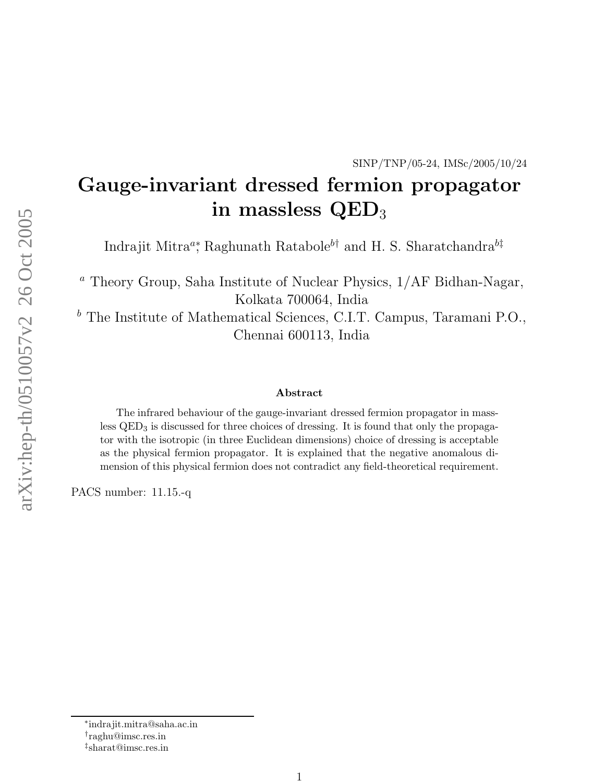# Gauge-invariant dressed fermion propagator in massless  $\rm QED_{3}$

Indrajit Mitra<sup>a</sup>, Raghunath Ratabole<sup>b†</sup> and H. S. Sharatchandra<sup>b‡</sup>

 $^a$  Theory Group, Saha Institute of Nuclear Physics,  $1/ \mathrm{AF}$  Bidhan-Nagar, Kolkata 700064, India

 $^b$  The Institute of Mathematical Sciences, C.I.T. Campus, Taramani P.O., Chennai 600113, India

#### Abstract

The infrared behaviour of the gauge-invariant dressed fermion propagator in massless  $QED<sub>3</sub>$  is discussed for three choices of dressing. It is found that only the propagator with the isotropic (in three Euclidean dimensions) choice of dressing is acceptable as the physical fermion propagator. It is explained that the negative anomalous dimension of this physical fermion does not contradict any field-theoretical requirement.

PACS number: 11.15.-q

<sup>∗</sup> indrajit.mitra@saha.ac.in

<sup>†</sup> raghu@imsc.res.in

<sup>‡</sup> sharat@imsc.res.in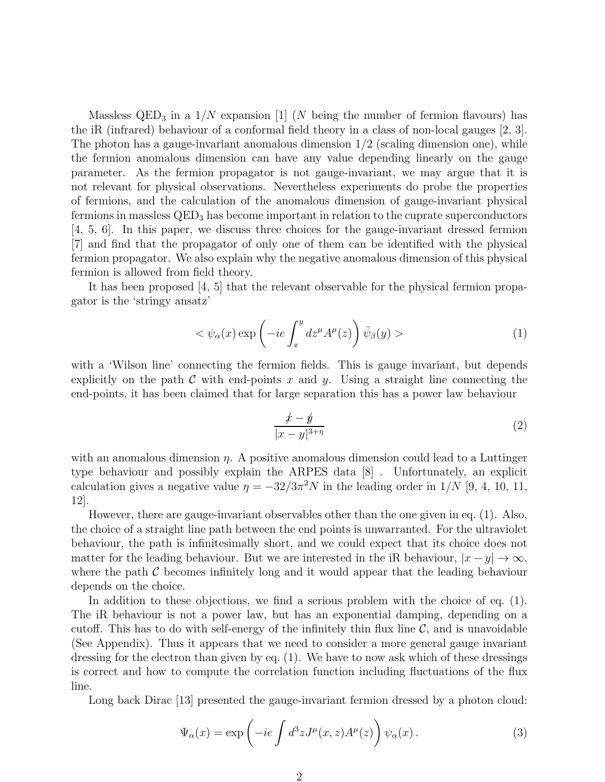Massless  $\text{QED}_3$  in a  $1/N$  expansion [1] (N being the number of fermion flavours) has the iR (infrared) behaviour of a conformal field theory in a class of non-local gauges [2, 3]. The photon has a gauge-invariant anomalous dimension  $1/2$  (scaling dimension one), while the fermion anomalous dimension can have any value depending linearly on the gauge parameter. As the fermion propagator is not gauge-invariant, we may argue that it is not relevant for physical observations. Nevertheless experiments do probe the properties of fermions, and the calculation of the anomalous dimension of gauge-invariant physical fermions in massless QED<sup>3</sup> has become important in relation to the cuprate superconductors [4, 5, 6]. In this paper, we discuss three choices for the gauge-invariant dressed fermion [7] and find that the propagator of only one of them can be identified with the physical fermion propagator. We also explain why the negative anomalous dimension of this physical fermion is allowed from field theory.

It has been proposed [4, 5] that the relevant observable for the physical fermion propagator is the 'stringy ansatz'

$$
\langle \psi_{\alpha}(x) \exp\left(-ie \int_{x}^{y} dz^{\mu} A^{\mu}(z)\right) \bar{\psi}_{\beta}(y) \rangle \tag{1}
$$

with a 'Wilson line' connecting the fermion fields. This is gauge invariant, but depends explicitly on the path  $C$  with end-points x and y. Using a straight line connecting the end-points, it has been claimed that for large separation this has a power law behaviour

$$
\frac{x-y}{|x-y|^{3+\eta}}
$$
 (2)

with an anomalous dimension  $\eta$ . A positive anomalous dimension could lead to a Luttinger type behaviour and possibly explain the ARPES data [8] . Unfortunately, an explicit calculation gives a negative value  $\eta = -32/3\pi^2 N$  in the leading order in  $1/N$  [9, 4, 10, 11, 12].

However, there are gauge-invariant observables other than the one given in eq. (1). Also, the choice of a straight line path between the end points is unwarranted. For the ultraviolet behaviour, the path is infinitesimally short, and we could expect that its choice does not matter for the leading behaviour. But we are interested in the iR behaviour,  $|x - y| \to \infty$ , where the path  $\mathcal C$  becomes infinitely long and it would appear that the leading behaviour depends on the choice.

In addition to these objections, we find a serious problem with the choice of eq. (1). The iR behaviour is not a power law, but has an exponential damping, depending on a cutoff. This has to do with self-energy of the infinitely thin flux line  $\mathcal{C}$ , and is unavoidable (See Appendix). Thus it appears that we need to consider a more general gauge invariant dressing for the electron than given by eq. (1). We have to now ask which of these dressings is correct and how to compute the correlation function including fluctuations of the flux line.

Long back Dirac [13] presented the gauge-invariant fermion dressed by a photon cloud:

$$
\Psi_{\alpha}(x) = \exp\left(-ie \int d^3z J^{\mu}(x, z) A^{\mu}(z)\right) \psi_{\alpha}(x).
$$
\n(3)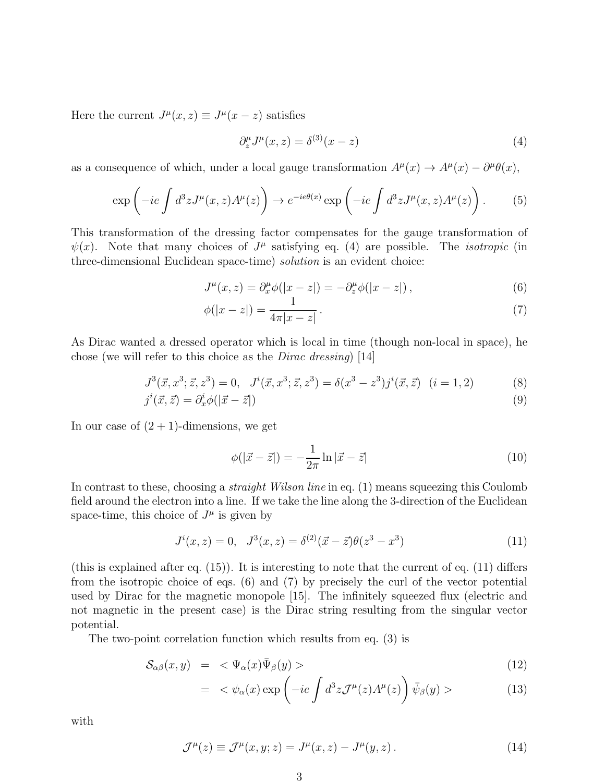Here the current  $J^{\mu}(x, z) \equiv J^{\mu}(x - z)$  satisfies

$$
\partial_z^{\mu} J^{\mu}(x, z) = \delta^{(3)}(x - z) \tag{4}
$$

as a consequence of which, under a local gauge transformation  $A^{\mu}(x) \to A^{\mu}(x) - \partial^{\mu}\theta(x)$ ,

$$
\exp\left(-ie\int d^3z J^\mu(x,z)A^\mu(z)\right) \to e^{-ie\theta(x)}\exp\left(-ie\int d^3z J^\mu(x,z)A^\mu(z)\right). \tag{5}
$$

This transformation of the dressing factor compensates for the gauge transformation of  $\psi(x)$ . Note that many choices of  $J^{\mu}$  satisfying eq. (4) are possible. The *isotropic* (in three-dimensional Euclidean space-time) solution is an evident choice:

$$
J^{\mu}(x,z) = \partial_x^{\mu} \phi(|x-z|) = -\partial_z^{\mu} \phi(|x-z|) , \qquad (6)
$$

$$
\phi(|x-z|) = \frac{1}{4\pi|x-z|} \,. \tag{7}
$$

As Dirac wanted a dressed operator which is local in time (though non-local in space), he chose (we will refer to this choice as the Dirac dressing) [14]

$$
J^{3}(\vec{x}, x^{3}; \vec{z}, z^{3}) = 0, J^{i}(\vec{x}, x^{3}; \vec{z}, z^{3}) = \delta(x^{3} - z^{3})j^{i}(\vec{x}, \vec{z}) \quad (i = 1, 2)
$$
 (8)

$$
j^{i}(\vec{x},\vec{z}) = \partial_{x}^{i}\phi(|\vec{x}-\vec{z}|) \tag{9}
$$

In our case of  $(2 + 1)$ -dimensions, we get

$$
\phi(|\vec{x} - \vec{z}|) = -\frac{1}{2\pi} \ln|\vec{x} - \vec{z}| \tag{10}
$$

In contrast to these, choosing a *straight Wilson line* in eq. (1) means squeezing this Coulomb field around the electron into a line. If we take the line along the 3-direction of the Euclidean space-time, this choice of  $J^{\mu}$  is given by

$$
J^{i}(x, z) = 0, \quad J^{3}(x, z) = \delta^{(2)}(\vec{x} - \vec{z})\theta(z^{3} - x^{3})
$$
\n(11)

(this is explained after eq.  $(15)$ ). It is interesting to note that the current of eq.  $(11)$  differs from the isotropic choice of eqs. (6) and (7) by precisely the curl of the vector potential used by Dirac for the magnetic monopole [15]. The infinitely squeezed flux (electric and not magnetic in the present case) is the Dirac string resulting from the singular vector potential.

The two-point correlation function which results from eq. (3) is

$$
\mathcal{S}_{\alpha\beta}(x,y) = \langle \Psi_{\alpha}(x)\bar{\Psi}_{\beta}(y) \rangle \tag{12}
$$

$$
= \langle \psi_{\alpha}(x) \exp\left(-ie \int d^3 z \mathcal{J}^{\mu}(z) A^{\mu}(z)\right) \bar{\psi}_{\beta}(y) \rangle \tag{13}
$$

with

$$
\mathcal{J}^{\mu}(z) \equiv \mathcal{J}^{\mu}(x, y; z) = J^{\mu}(x, z) - J^{\mu}(y, z). \tag{14}
$$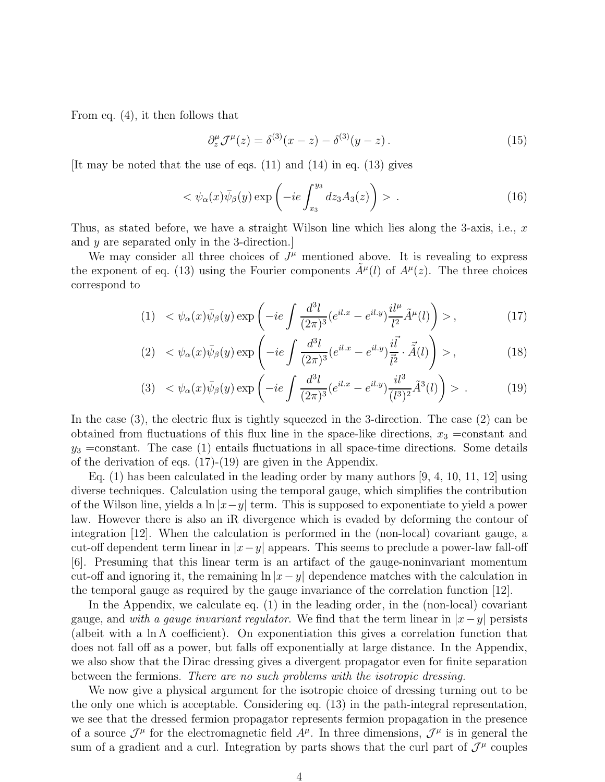From eq. (4), it then follows that

$$
\partial_z^{\mu} \mathcal{J}^{\mu}(z) = \delta^{(3)}(x-z) - \delta^{(3)}(y-z). \tag{15}
$$

[It may be noted that the use of eqs. (11) and (14) in eq. (13) gives

$$
\langle \psi_{\alpha}(x)\bar{\psi}_{\beta}(y)\exp\left(-ie\int_{x_3}^{y_3}dz_3A_3(z)\right) \rangle . \tag{16}
$$

Thus, as stated before, we have a straight Wilson line which lies along the 3-axis, i.e.,  $x$ and y are separated only in the 3-direction.]

We may consider all three choices of  $J^{\mu}$  mentioned above. It is revealing to express the exponent of eq. (13) using the Fourier components  $\tilde{A}^{\mu}(l)$  of  $A^{\mu}(z)$ . The three choices correspond to

$$
(1) \quad <\psi_{\alpha}(x)\bar{\psi}_{\beta}(y)\exp\left(-ie\int\frac{d^{3}l}{(2\pi)^{3}}(e^{il.x}-e^{il.y})\frac{il^{\mu}}{l^{2}}\tilde{A}^{\mu}(l)\right)>,\tag{17}
$$

$$
(2) < \psi_{\alpha}(x)\bar{\psi}_{\beta}(y) \exp\left(-ie \int \frac{d^{3}l}{(2\pi)^{3}}(e^{il.x} - e^{il.y})\frac{i\vec{l}}{\vec{l}^{2}} \cdot \vec{A}(l)\right) > , \qquad (18)
$$

$$
(3) \quad <\psi_{\alpha}(x)\bar{\psi}_{\beta}(y)\exp\left(-ie\int\frac{d^{3}l}{(2\pi)^{3}}(e^{il.x}-e^{il.y})\frac{il^{3}}{(l^{3})^{2}}\tilde{A}^{3}(l)\right)>\,. \tag{19}
$$

In the case (3), the electric flux is tightly squeezed in the 3-direction. The case (2) can be obtained from fluctuations of this flux line in the space-like directions,  $x_3$  =constant and  $y_3$  =constant. The case (1) entails fluctuations in all space-time directions. Some details of the derivation of eqs.  $(17)-(19)$  are given in the Appendix.

Eq.  $(1)$  has been calculated in the leading order by many authors [9, 4, 10, 11, 12] using diverse techniques. Calculation using the temporal gauge, which simplifies the contribution of the Wilson line, yields a ln  $|x-y|$  term. This is supposed to exponentiate to yield a power law. However there is also an iR divergence which is evaded by deforming the contour of integration [12]. When the calculation is performed in the (non-local) covariant gauge, a cut-off dependent term linear in  $|x-y|$  appears. This seems to preclude a power-law fall-off [6]. Presuming that this linear term is an artifact of the gauge-noninvariant momentum cut-off and ignoring it, the remaining  $\ln |x-y|$  dependence matches with the calculation in the temporal gauge as required by the gauge invariance of the correlation function [12].

In the Appendix, we calculate eq. (1) in the leading order, in the (non-local) covariant gauge, and with a gauge invariant regulator. We find that the term linear in  $|x-y|$  persists (albeit with a  $\ln \Lambda$  coefficient). On exponentiation this gives a correlation function that does not fall off as a power, but falls off exponentially at large distance. In the Appendix, we also show that the Dirac dressing gives a divergent propagator even for finite separation between the fermions. There are no such problems with the isotropic dressing.

We now give a physical argument for the isotropic choice of dressing turning out to be the only one which is acceptable. Considering eq. (13) in the path-integral representation, we see that the dressed fermion propagator represents fermion propagation in the presence of a source  $\mathcal{J}^{\mu}$  for the electromagnetic field  $A^{\mu}$ . In three dimensions,  $\mathcal{J}^{\mu}$  is in general the sum of a gradient and a curl. Integration by parts shows that the curl part of  $\mathcal{J}^{\mu}$  couples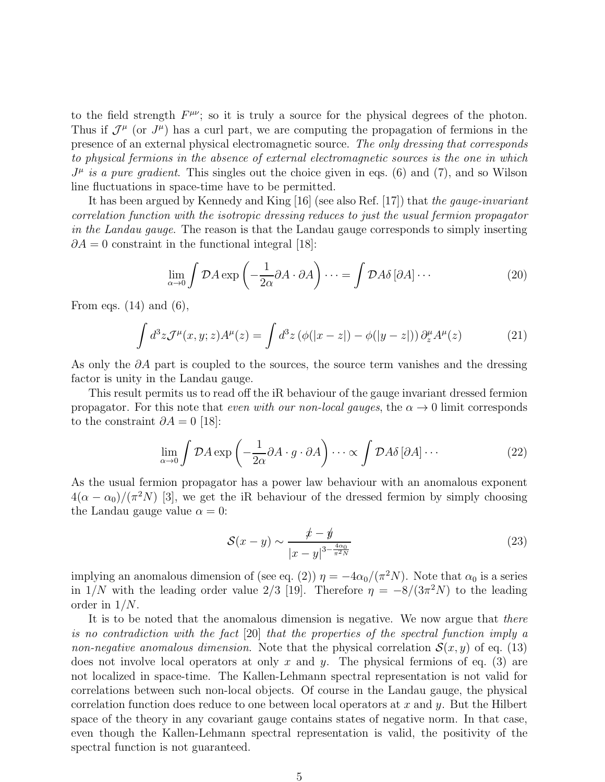to the field strength  $F^{\mu\nu}$ ; so it is truly a source for the physical degrees of the photon. Thus if  $\mathcal{J}^{\mu}$  (or  $J^{\mu}$ ) has a curl part, we are computing the propagation of fermions in the presence of an external physical electromagnetic source. The only dressing that corresponds to physical fermions in the absence of external electromagnetic sources is the one in which  $J^{\mu}$  is a pure gradient. This singles out the choice given in eqs. (6) and (7), and so Wilson line fluctuations in space-time have to be permitted.

It has been argued by Kennedy and King [16] (see also Ref. [17]) that the *qauqe-invariant* correlation function with the isotropic dressing reduces to just the usual fermion propagator in the Landau gauge. The reason is that the Landau gauge corresponds to simply inserting  $\partial A = 0$  constraint in the functional integral [18]:

$$
\lim_{\alpha \to 0} \int \mathcal{D}A \exp\left(-\frac{1}{2\alpha}\partial A \cdot \partial A\right) \cdots = \int \mathcal{D}A\delta \left[\partial A\right] \cdots \tag{20}
$$

From eqs.  $(14)$  and  $(6)$ ,

$$
\int d^3z \mathcal{J}^\mu(x, y; z) A^\mu(z) = \int d^3z \left( \phi(|x - z|) - \phi(|y - z|) \right) \partial_z^\mu A^\mu(z) \tag{21}
$$

As only the  $\partial A$  part is coupled to the sources, the source term vanishes and the dressing factor is unity in the Landau gauge.

This result permits us to read off the iR behaviour of the gauge invariant dressed fermion propagator. For this note that even with our non-local gauges, the  $\alpha \rightarrow 0$  limit corresponds to the constraint  $\partial A = 0$  [18]:

$$
\lim_{\alpha \to 0} \int \mathcal{D}A \exp\left(-\frac{1}{2\alpha}\partial A \cdot g \cdot \partial A\right) \cdots \propto \int \mathcal{D}A\delta\left[\partial A\right] \cdots \tag{22}
$$

As the usual fermion propagator has a power law behaviour with an anomalous exponent  $4(\alpha - \alpha_0)/(\pi^2 N)$  [3], we get the iR behaviour of the dressed fermion by simply choosing the Landau gauge value  $\alpha = 0$ :

$$
\mathcal{S}(x-y) \sim \frac{\mathcal{L} - \mathcal{Y}}{|x - y|^{3 - \frac{4\alpha_0}{\pi^2 N}}}
$$
(23)

implying an anomalous dimension of (see eq. (2))  $\eta = -4\alpha_0/(\pi^2 N)$ . Note that  $\alpha_0$  is a series in 1/N with the leading order value 2/3 [19]. Therefore  $\eta = -8/(3\pi^2 N)$  to the leading order in 1/N.

It is to be noted that the anomalous dimension is negative. We now argue that there is no contradiction with the fact [20] that the properties of the spectral function imply a non-negative anomalous dimension. Note that the physical correlation  $\mathcal{S}(x, y)$  of eq. (13) does not involve local operators at only x and y. The physical fermions of eq.  $(3)$  are not localized in space-time. The Kallen-Lehmann spectral representation is not valid for correlations between such non-local objects. Of course in the Landau gauge, the physical correlation function does reduce to one between local operators at x and y. But the Hilbert space of the theory in any covariant gauge contains states of negative norm. In that case, even though the Kallen-Lehmann spectral representation is valid, the positivity of the spectral function is not guaranteed.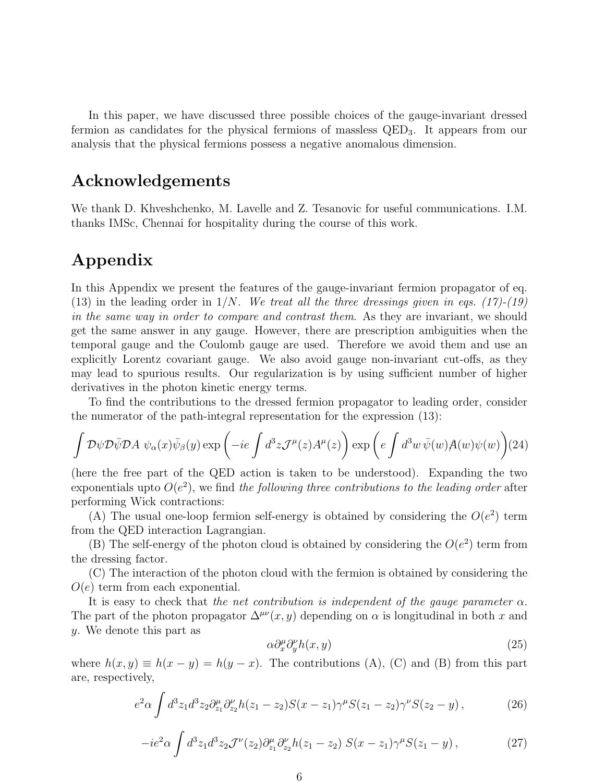In this paper, we have discussed three possible choices of the gauge-invariant dressed fermion as candidates for the physical fermions of massless QED3. It appears from our analysis that the physical fermions possess a negative anomalous dimension.

### Acknowledgements

We thank D. Khveshchenko, M. Lavelle and Z. Tesanovic for useful communications. I.M. thanks IMSc, Chennai for hospitality during the course of this work.

## Appendix

In this Appendix we present the features of the gauge-invariant fermion propagator of eq. (13) in the leading order in  $1/N$ . We treat all the three dressings given in eqs. (17)-(19) in the same way in order to compare and contrast them. As they are invariant, we should get the same answer in any gauge. However, there are prescription ambiguities when the temporal gauge and the Coulomb gauge are used. Therefore we avoid them and use an explicitly Lorentz covariant gauge. We also avoid gauge non-invariant cut-offs, as they may lead to spurious results. Our regularization is by using sufficient number of higher derivatives in the photon kinetic energy terms.

To find the contributions to the dressed fermion propagator to leading order, consider the numerator of the path-integral representation for the expression (13):

$$
\int \mathcal{D}\psi \mathcal{D}\bar{\psi} \mathcal{D}A \; \psi_{\alpha}(x)\bar{\psi}_{\beta}(y) \exp\left(-ie \int d^{3}z \mathcal{J}^{\mu}(z)A^{\mu}(z)\right) \exp\left(e \int d^{3}w \; \bar{\psi}(w)A(w)\psi(w)\right) (24)
$$

(here the free part of the QED action is taken to be understood). Expanding the two exponentials upto  $O(e^2)$ , we find the following three contributions to the leading order after performing Wick contractions:

(A) The usual one-loop fermion self-energy is obtained by considering the  $O(e^2)$  term from the QED interaction Lagrangian.

(B) The self-energy of the photon cloud is obtained by considering the  $O(e^2)$  term from the dressing factor.

(C) The interaction of the photon cloud with the fermion is obtained by considering the  $O(e)$  term from each exponential.

It is easy to check that the net contribution is independent of the gauge parameter  $\alpha$ . The part of the photon propagator  $\Delta^{\mu\nu}(x, y)$  depending on  $\alpha$  is longitudinal in both x and y. We denote this part as

$$
\alpha \partial_x^{\mu} \partial_y^{\nu} h(x, y) \tag{25}
$$

where  $h(x, y) \equiv h(x - y) = h(y - x)$ . The contributions (A), (C) and (B) from this part are, respectively,

$$
e^2 \alpha \int d^3 z_1 d^3 z_2 \partial_{z_1}^{\mu} \partial_{z_2}^{\nu} h(z_1 - z_2) S(x - z_1) \gamma^{\mu} S(z_1 - z_2) \gamma^{\nu} S(z_2 - y) , \qquad (26)
$$

$$
-ie^2\alpha \int d^3z_1 d^3z_2 \mathcal{J}^{\nu}(z_2) \partial_{z_1}^{\mu} \partial_{z_2}^{\nu} h(z_1 - z_2) S(x - z_1) \gamma^{\mu} S(z_1 - y) , \qquad (27)
$$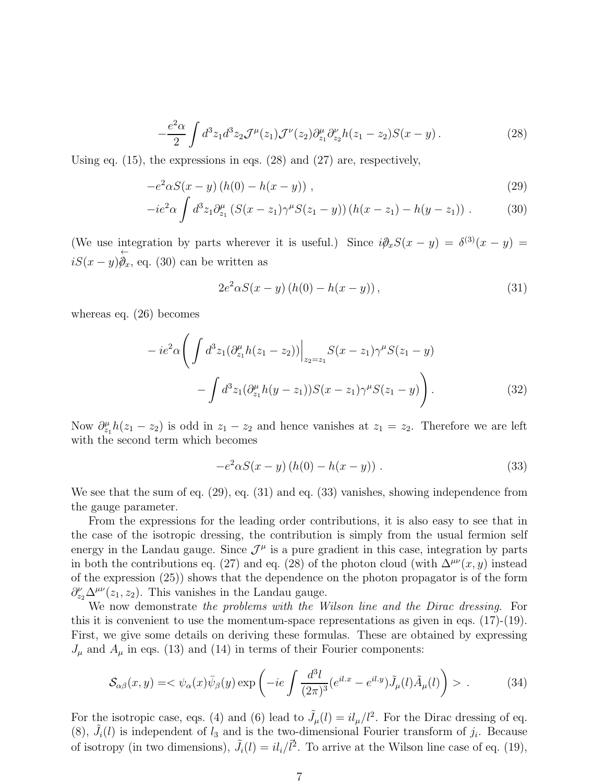$$
-\frac{e^2\alpha}{2}\int d^3z_1 d^3z_2 \mathcal{J}^{\mu}(z_1)\mathcal{J}^{\nu}(z_2)\partial_{z_1}^{\mu}\partial_{z_2}^{\nu}h(z_1-z_2)S(x-y). \tag{28}
$$

Using eq.  $(15)$ , the expressions in eqs.  $(28)$  and  $(27)$  are, respectively,

$$
-e^2 \alpha S(x - y) (h(0) - h(x - y)), \qquad (29)
$$

$$
-ie^2\alpha \int d^3z_1 \partial_{z_1}^{\mu} \left( S(x-z_1)\gamma^{\mu} S(z_1-y) \right) \left( h(x-z_1) - h(y-z_1) \right) . \tag{30}
$$

(We use integration by parts wherever it is useful.) Since  $i\partial_x S(x - y) = \delta^{(3)}(x - y) =$  $iS(x-y)$ ←  $\hat{\varphi}_x$ , eq. (30) can be written as

$$
2e^{2}\alpha S(x - y) (h(0) - h(x - y)), \qquad (31)
$$

whereas eq. (26) becomes

$$
-ie^2\alpha \left( \int d^3z_1 (\partial_{z_1}^{\mu} h(z_1 - z_2)) \Big|_{z_2 = z_1} S(x - z_1) \gamma^{\mu} S(z_1 - y) - \int d^3z_1 (\partial_{z_1}^{\mu} h(y - z_1)) S(x - z_1) \gamma^{\mu} S(z_1 - y) \right). \tag{32}
$$

Now  $\partial_{z_1}^\mu h(z_1 - z_2)$  is odd in  $z_1 - z_2$  and hence vanishes at  $z_1 = z_2$ . Therefore we are left with the second term which becomes

$$
-e^2 \alpha S(x-y) (h(0) - h(x-y)) . \tag{33}
$$

We see that the sum of eq. (29), eq. (31) and eq. (33) vanishes, showing independence from the gauge parameter.

From the expressions for the leading order contributions, it is also easy to see that in the case of the isotropic dressing, the contribution is simply from the usual fermion self energy in the Landau gauge. Since  $\mathcal{J}^{\mu}$  is a pure gradient in this case, integration by parts in both the contributions eq. (27) and eq. (28) of the photon cloud (with  $\Delta^{\mu\nu}(x, y)$  instead of the expression (25)) shows that the dependence on the photon propagator is of the form  $\partial_{z_2}^{\nu} \Delta^{\mu\nu}(z_1, z_2)$ . This vanishes in the Landau gauge.

We now demonstrate the problems with the Wilson line and the Dirac dressing. For this it is convenient to use the momentum-space representations as given in eqs. (17)-(19). First, we give some details on deriving these formulas. These are obtained by expressing  $J_{\mu}$  and  $A_{\mu}$  in eqs. (13) and (14) in terms of their Fourier components:

$$
\mathcal{S}_{\alpha\beta}(x,y) = \langle \psi_{\alpha}(x)\bar{\psi}_{\beta}(y) \exp\left(-ie \int \frac{d^3l}{(2\pi)^3} (e^{il.x} - e^{il.y}) \tilde{J}_{\mu}(l)\tilde{A}_{\mu}(l)\right) \rangle. \tag{34}
$$

For the isotropic case, eqs. (4) and (6) lead to  $\tilde{J}_{\mu}(l) = i l_{\mu}/l^2$ . For the Dirac dressing of eq. (8),  $\tilde{J}_i(l)$  is independent of  $l_3$  and is the two-dimensional Fourier transform of  $j_i$ . Because of isotropy (in two dimensions),  $\tilde{J}_i(l) = i l_i / l^2$ . To arrive at the Wilson line case of eq. (19),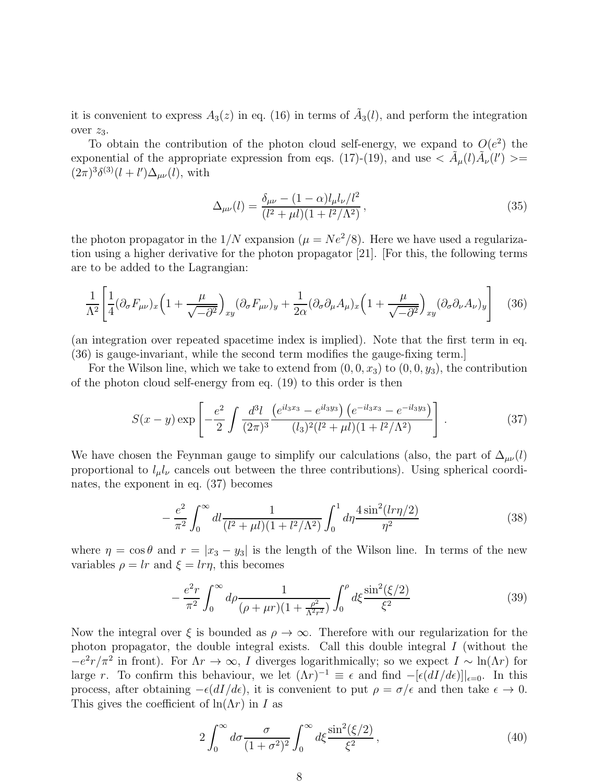it is convenient to express  $A_3(z)$  in eq. (16) in terms of  $\tilde{A}_3(l)$ , and perform the integration over  $z_3$ .

To obtain the contribution of the photon cloud self-energy, we expand to  $O(e^2)$  the exponential of the appropriate expression from eqs. (17)-(19), and use  $\langle \tilde{A}_{\mu}(l)\tilde{A}_{\nu}(l')\rangle =$  $(2\pi)^3 \delta^{(3)}(l+l') \Delta_{\mu\nu}(l)$ , with

$$
\Delta_{\mu\nu}(l) = \frac{\delta_{\mu\nu} - (1 - \alpha)l_{\mu}l_{\nu}/l^2}{(l^2 + \mu l)(1 + l^2/\Lambda^2)},
$$
\n(35)

the photon propagator in the  $1/N$  expansion  $(\mu = Ne^2/8)$ . Here we have used a regularization using a higher derivative for the photon propagator [21]. [For this, the following terms are to be added to the Lagrangian:

$$
\frac{1}{\Lambda^2} \left[ \frac{1}{4} (\partial_{\sigma} F_{\mu\nu})_x \left( 1 + \frac{\mu}{\sqrt{-\partial^2}} \right)_{xy} (\partial_{\sigma} F_{\mu\nu})_y + \frac{1}{2\alpha} (\partial_{\sigma} \partial_{\mu} A_{\mu})_x \left( 1 + \frac{\mu}{\sqrt{-\partial^2}} \right)_{xy} (\partial_{\sigma} \partial_{\nu} A_{\nu})_y \right] \tag{36}
$$

(an integration over repeated spacetime index is implied). Note that the first term in eq. (36) is gauge-invariant, while the second term modifies the gauge-fixing term.]

For the Wilson line, which we take to extend from  $(0,0,x_3)$  to  $(0,0,y_3)$ , the contribution of the photon cloud self-energy from eq. (19) to this order is then

$$
S(x - y) \exp\left[ -\frac{e^2}{2} \int \frac{d^3l}{(2\pi)^3} \frac{\left(e^{il_3x_3} - e^{il_3y_3}\right) \left(e^{-il_3x_3} - e^{-il_3y_3}\right)}{(l_3)^2 (l^2 + \mu l)(1 + l^2/\Lambda^2)} \right].
$$
 (37)

We have chosen the Feynman gauge to simplify our calculations (also, the part of  $\Delta_{\mu\nu}(l)$ proportional to  $l_{\mu}l_{\nu}$  cancels out between the three contributions). Using spherical coordinates, the exponent in eq. (37) becomes

$$
-\frac{e^2}{\pi^2} \int_0^\infty dl \frac{1}{(l^2 + \mu l)(1 + l^2/\Lambda^2)} \int_0^1 d\eta \frac{4\sin^2(l\eta/2)}{\eta^2}
$$
(38)

where  $\eta = \cos \theta$  and  $r = |x_3 - y_3|$  is the length of the Wilson line. In terms of the new variables  $\rho = lr$  and  $\xi = lr\eta$ , this becomes

$$
-\frac{e^2r}{\pi^2} \int_0^\infty d\rho \frac{1}{(\rho + \mu r)(1 + \frac{\rho^2}{\Lambda^2 r^2})} \int_0^\rho d\xi \frac{\sin^2(\xi/2)}{\xi^2}
$$
(39)

Now the integral over  $\xi$  is bounded as  $\rho \to \infty$ . Therefore with our regularization for the photon propagator, the double integral exists. Call this double integral  $I$  (without the  $-e^2r/\pi^2$  in front). For  $\Lambda r \to \infty$ , I diverges logarithmically; so we expect  $I \sim \ln(\Lambda r)$  for large r. To confirm this behaviour, we let  $(\Lambda r)^{-1} \equiv \epsilon$  and find  $-[ \epsilon (dI/d\epsilon) ] |_{\epsilon=0}$ . In this process, after obtaining  $-\epsilon(dI/d\epsilon)$ , it is convenient to put  $\rho = \sigma/\epsilon$  and then take  $\epsilon \to 0$ . This gives the coefficient of  $\ln(\Lambda r)$  in I as

$$
2\int_0^\infty d\sigma \frac{\sigma}{(1+\sigma^2)^2} \int_0^\infty d\xi \frac{\sin^2(\xi/2)}{\xi^2},\tag{40}
$$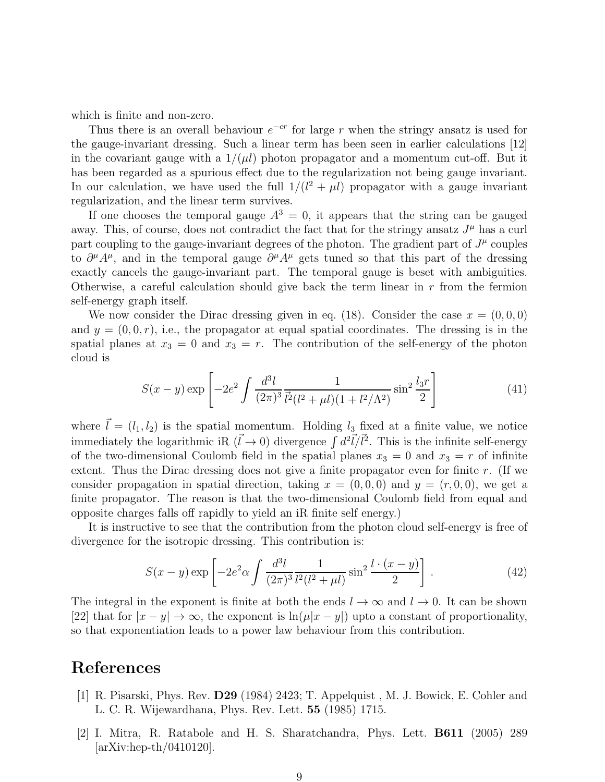which is finite and non-zero.

Thus there is an overall behaviour  $e^{-cr}$  for large r when the stringy ansatz is used for the gauge-invariant dressing. Such a linear term has been seen in earlier calculations [12] in the covariant gauge with a  $1/(\mu l)$  photon propagator and a momentum cut-off. But it has been regarded as a spurious effect due to the regularization not being gauge invariant. In our calculation, we have used the full  $1/(l^2 + \mu l)$  propagator with a gauge invariant regularization, and the linear term survives.

If one chooses the temporal gauge  $A^3 = 0$ , it appears that the string can be gauged away. This, of course, does not contradict the fact that for the stringy ansatz  $J^{\mu}$  has a curl part coupling to the gauge-invariant degrees of the photon. The gradient part of  $J^{\mu}$  couples to  $\partial^{\mu}A^{\mu}$ , and in the temporal gauge  $\partial^{\mu}A^{\mu}$  gets tuned so that this part of the dressing exactly cancels the gauge-invariant part. The temporal gauge is beset with ambiguities. Otherwise, a careful calculation should give back the term linear in  $r$  from the fermion self-energy graph itself.

We now consider the Dirac dressing given in eq. (18). Consider the case  $x = (0, 0, 0)$ and  $y = (0, 0, r)$ , i.e., the propagator at equal spatial coordinates. The dressing is in the spatial planes at  $x_3 = 0$  and  $x_3 = r$ . The contribution of the self-energy of the photon cloud is

$$
S(x - y) \exp\left[-2e^2 \int \frac{d^3l}{(2\pi)^3} \frac{1}{l^2(l^2 + \mu l)(1 + l^2/\Lambda^2)} \sin^2 \frac{l_3r}{2}\right]
$$
(41)

where  $\vec{l} = (l_1, l_2)$  is the spatial momentum. Holding  $l_3$  fixed at a finite value, we notice immediately the logarithmic iR  $(\vec{l} \to 0)$  divergence  $\int d^2 \vec{l}/\vec{l}^2$ . This is the infinite self-energy of the two-dimensional Coulomb field in the spatial planes  $x_3 = 0$  and  $x_3 = r$  of infinite extent. Thus the Dirac dressing does not give a finite propagator even for finite r. (If we consider propagation in spatial direction, taking  $x = (0, 0, 0)$  and  $y = (r, 0, 0)$ , we get a finite propagator. The reason is that the two-dimensional Coulomb field from equal and opposite charges falls off rapidly to yield an iR finite self energy.)

It is instructive to see that the contribution from the photon cloud self-energy is free of divergence for the isotropic dressing. This contribution is:

$$
S(x - y) \exp\left[-2e^2 \alpha \int \frac{d^3l}{(2\pi)^3} \frac{1}{l^2(l^2 + \mu l)} \sin^2 \frac{l \cdot (x - y)}{2}\right].
$$
 (42)

The integral in the exponent is finite at both the ends  $l \to \infty$  and  $l \to 0$ . It can be shown [22] that for  $|x - y| \to \infty$ , the exponent is  $\ln(\mu|x - y|)$  upto a constant of proportionality, so that exponentiation leads to a power law behaviour from this contribution.

### References

- [1] R. Pisarski, Phys. Rev. D29 (1984) 2423; T. Appelquist , M. J. Bowick, E. Cohler and L. C. R. Wijewardhana, Phys. Rev. Lett. 55 (1985) 1715.
- [2] I. Mitra, R. Ratabole and H. S. Sharatchandra, Phys. Lett. B611 (2005) 289 [arXiv:hep-th/0410120].